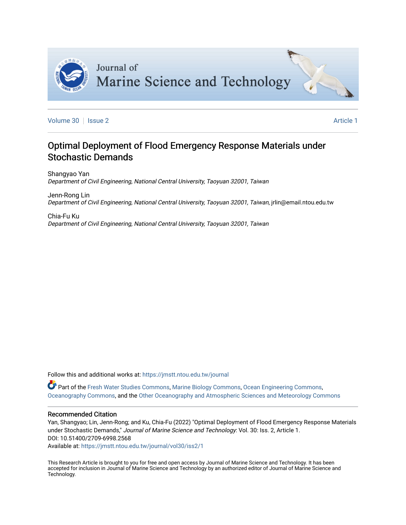

[Volume 30](https://jmstt.ntou.edu.tw/journal/vol30) | [Issue 2](https://jmstt.ntou.edu.tw/journal/vol30/iss2) **Article 1** 

# Optimal Deployment of Flood Emergency Response Materials under Stochastic Demands

Shangyao Yan Department of Civil Engineering, National Central University, Taoyuan 32001, Taiwan

Jenn-Rong Lin Department of Civil Engineering, National Central University, Taoyuan 32001, Taiwan, jrlin@email.ntou.edu.tw

Chia-Fu Ku Department of Civil Engineering, National Central University, Taoyuan 32001, Taiwan

Follow this and additional works at: [https://jmstt.ntou.edu.tw/journal](https://jmstt.ntou.edu.tw/journal?utm_source=jmstt.ntou.edu.tw%2Fjournal%2Fvol30%2Fiss2%2F1&utm_medium=PDF&utm_campaign=PDFCoverPages)

Part of the [Fresh Water Studies Commons,](https://network.bepress.com/hgg/discipline/189?utm_source=jmstt.ntou.edu.tw%2Fjournal%2Fvol30%2Fiss2%2F1&utm_medium=PDF&utm_campaign=PDFCoverPages) [Marine Biology Commons](https://network.bepress.com/hgg/discipline/1126?utm_source=jmstt.ntou.edu.tw%2Fjournal%2Fvol30%2Fiss2%2F1&utm_medium=PDF&utm_campaign=PDFCoverPages), [Ocean Engineering Commons,](https://network.bepress.com/hgg/discipline/302?utm_source=jmstt.ntou.edu.tw%2Fjournal%2Fvol30%2Fiss2%2F1&utm_medium=PDF&utm_campaign=PDFCoverPages) [Oceanography Commons](https://network.bepress.com/hgg/discipline/191?utm_source=jmstt.ntou.edu.tw%2Fjournal%2Fvol30%2Fiss2%2F1&utm_medium=PDF&utm_campaign=PDFCoverPages), and the [Other Oceanography and Atmospheric Sciences and Meteorology Commons](https://network.bepress.com/hgg/discipline/192?utm_source=jmstt.ntou.edu.tw%2Fjournal%2Fvol30%2Fiss2%2F1&utm_medium=PDF&utm_campaign=PDFCoverPages) 

# Recommended Citation

Yan, Shangyao; Lin, Jenn-Rong; and Ku, Chia-Fu (2022) "Optimal Deployment of Flood Emergency Response Materials under Stochastic Demands," Journal of Marine Science and Technology: Vol. 30: Iss. 2, Article 1. DOI: 10.51400/2709-6998.2568

Available at: [https://jmstt.ntou.edu.tw/journal/vol30/iss2/1](https://jmstt.ntou.edu.tw/journal/vol30/iss2/1?utm_source=jmstt.ntou.edu.tw%2Fjournal%2Fvol30%2Fiss2%2F1&utm_medium=PDF&utm_campaign=PDFCoverPages)

This Research Article is brought to you for free and open access by Journal of Marine Science and Technology. It has been accepted for inclusion in Journal of Marine Science and Technology by an authorized editor of Journal of Marine Science and Technology.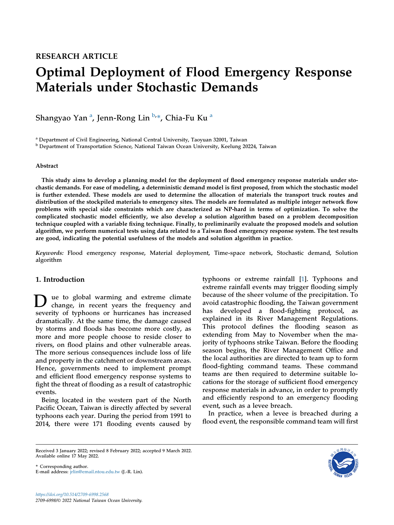# Optimal Deployment of Flood Emergency Response Materials under Stochastic Demands

Sh[a](#page-1-0)ngyao Yan <sup>a</sup>, Jenn-Rong Lin <sup>[b,](#page-1-1)</sup>\*, Chia-Fu Ku <sup>a</sup>

<span id="page-1-0"></span><sup>a</sup> Department of Civil Engineering, National Central University, Taoyuan 32001, Taiwan

<span id="page-1-1"></span><sup>b</sup> Department of Transportation Science, National Taiwan Ocean University, Keelung 20224, Taiwan

# Abstract

This study aims to develop a planning model for the deployment of flood emergency response materials under stochastic demands. For ease of modeling, a deterministic demand model is first proposed, from which the stochastic model is further extended. These models are used to determine the allocation of materials the transport truck routes and distribution of the stockpiled materials to emergency sites. The models are formulated as multiple integer network flow problems with special side constraints which are characterized as NP-hard in terms of optimization. To solve the complicated stochastic model efficiently, we also develop a solution algorithm based on a problem decomposition technique coupled with a variable fixing technique. Finally, to preliminarily evaluate the proposed models and solution algorithm, we perform numerical tests using data related to a Taiwan flood emergency response system. The test results are good, indicating the potential usefulness of the models and solution algorithm in practice.

Keywords: Flood emergency response, Material deployment, Time-space network, Stochastic demand, Solution algorithm

# 1. Introduction

D ue to global warming and extreme climate change, in recent years the frequency and severity of typhoons or hurricanes has increased dramatically. At the same time, the damage caused by storms and floods has become more costly, as more and more people choose to reside closer to rivers, on flood plains and other vulnerable areas. The more serious consequences include loss of life and property in the catchment or downstream areas. Hence, governments need to implement prompt and efficient flood emergency response systems to fight the threat of flooding as a result of catastrophic events.

Being located in the western part of the North Pacific Ocean, Taiwan is directly affected by several typhoons each year. During the period from 1991 to 2014, there were 171 flooding events caused by typhoons or extreme rainfall [[1\]](#page-15-0). Typhoons and extreme rainfall events may trigger flooding simply because of the sheer volume of the precipitation. To avoid catastrophic flooding, the Taiwan government has developed a flood-fighting protocol, as explained in its River Management Regulations. This protocol defines the flooding season as extending from May to November when the majority of typhoons strike Taiwan. Before the flooding season begins, the River Management Office and the local authorities are directed to team up to form flood-fighting command teams. These command teams are then required to determine suitable locations for the storage of sufficient flood emergency response materials in advance, in order to promptly and efficiently respond to an emergency flooding event, such as a levee breach.

In practice, when a levee is breached during a flood event, the responsible command team will first

\* Corresponding author. E-mail address: [jrlin@email.ntou.edu.tw](mailto:jrlin@email.ntou.edu.tw) (J.-R. Lin).



Received 3 January 2022; revised 8 February 2022; accepted 9 March 2022. Available online 17 May 2022.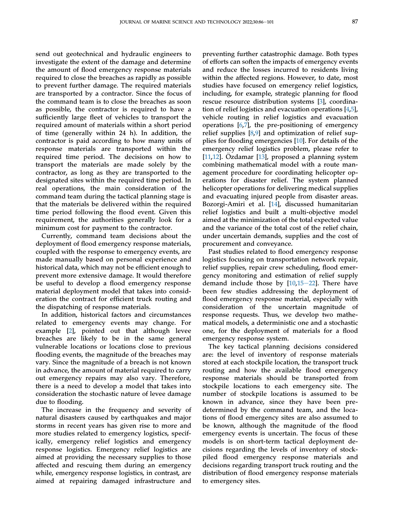send out geotechnical and hydraulic engineers to investigate the extent of the damage and determine the amount of flood emergency response materials required to close the breaches as rapidly as possible to prevent further damage. The required materials are transported by a contractor. Since the focus of the command team is to close the breaches as soon as possible, the contractor is required to have a sufficiently large fleet of vehicles to transport the required amount of materials within a short period of time (generally within 24 h). In addition, the contractor is paid according to how many units of response materials are transported within the required time period. The decisions on how to transport the materials are made solely by the contractor, as long as they are transported to the designated sites within the required time period. In real operations, the main consideration of the command team during the tactical planning stage is that the materials be delivered within the required time period following the flood event. Given this requirement, the authorities generally look for a minimum cost for payment to the contractor.

Currently, command team decisions about the deployment of flood emergency response materials, coupled with the response to emergency events, are made manually based on personal experience and historical data, which may not be efficient enough to prevent more extensive damage. It would therefore be useful to develop a flood emergency response material deployment model that takes into consideration the contract for efficient truck routing and the dispatching of response materials.

In addition, historical factors and circumstances related to emergency events may change. For example [\[2](#page-15-1)], pointed out that although levee breaches are likely to be in the same general vulnerable locations or locations close to previous flooding events, the magnitude of the breaches may vary. Since the magnitude of a breach is not known in advance, the amount of material required to carry out emergency repairs may also vary. Therefore, there is a need to develop a model that takes into consideration the stochastic nature of levee damage due to flooding.

The increase in the frequency and severity of natural disasters caused by earthquakes and major storms in recent years has given rise to more and more studies related to emergency logistics, specifically, emergency relief logistics and emergency response logistics. Emergency relief logistics are aimed at providing the necessary supplies to those affected and rescuing them during an emergency while, emergency response logistics, in contrast, are aimed at repairing damaged infrastructure and

preventing further catastrophic damage. Both types of efforts can soften the impacts of emergency events and reduce the losses incurred to residents living within the affected regions. However, to date, most studies have focused on emergency relief logistics, including, for example, strategic planning for flood rescue resource distribution systems [\[3](#page-15-2)], coordination of relief logistics and evacuation operations [\[4](#page-16-0),[5\]](#page-16-1), vehicle routing in relief logistics and evacuation operations  $[6,7]$  $[6,7]$  $[6,7]$  $[6,7]$ , the pre-positioning of emergency relief supplies [\[8](#page-16-4),[9\]](#page-16-5) and optimization of relief supplies for flooding emergencies [[10\]](#page-16-6). For details of the emergency relief logistics problem, please refer to [\[11](#page-16-7),[12\]](#page-16-8). Ozdamar [[13\]](#page-16-9), proposed a planning system combining mathematical model with a route management procedure for coordinating helicopter operations for disaster relief. The system planned helicopter operations for delivering medical supplies and evacuating injured people from disaster areas. Bozorgi-Amiri et al. [[14\]](#page-16-10), discussed humanitarian relief logistics and built a multi-objective model aimed at the minimization of the total expected value and the variance of the total cost of the relief chain, under uncertain demands, supplies and the cost of procurement and conveyance.

Past studies related to flood emergency response logistics focusing on transportation network repair, relief supplies, repair crew scheduling, flood emergency monitoring and estimation of relief supply demand include those by  $[10,15-22]$  $[10,15-22]$  $[10,15-22]$  $[10,15-22]$  $[10,15-22]$ . There have been few studies addressing the deployment of flood emergency response material, especially with consideration of the uncertain magnitude of response requests. Thus, we develop two mathematical models, a deterministic one and a stochastic one, for the deployment of materials for a flood emergency response system.

The key tactical planning decisions considered are: the level of inventory of response materials stored at each stockpile location, the transport truck routing and how the available flood emergency response materials should be transported from stockpile locations to each emergency site. The number of stockpile locations is assumed to be known in advance, since they have been predetermined by the command team, and the locations of flood emergency sites are also assumed to be known, although the magnitude of the flood emergency events is uncertain. The focus of these models is on short-term tactical deployment decisions regarding the levels of inventory of stockpiled flood emergency response materials and decisions regarding transport truck routing and the distribution of flood emergency response materials to emergency sites.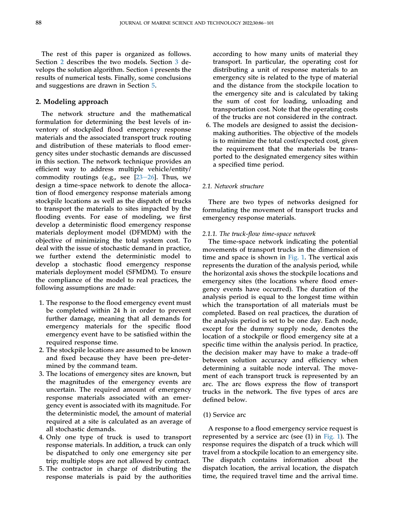The rest of this paper is organized as follows. Section [2](#page-3-0) describes the two models. Section [3](#page-10-0) develops the solution algorithm. Section [4](#page-11-0) presents the results of numerical tests. Finally, some conclusions and suggestions are drawn in Section [5](#page-15-3).

# <span id="page-3-0"></span>2. Modeling approach

The network structure and the mathematical formulation for determining the best levels of inventory of stockpiled flood emergency response materials and the associated transport truck routing and distribution of these materials to flood emergency sites under stochastic demands are discussed in this section. The network technique provides an efficient way to address multiple vehicle/entity/ commodity routings (e.g., see  $[23-26]$  $[23-26]$  $[23-26]$  $[23-26]$  $[23-26]$ . Thus, we design a time-space network to denote the allocation of flood emergency response materials among stockpile locations as well as the dispatch of trucks to transport the materials to sites impacted by the flooding events. For ease of modeling, we first develop a deterministic flood emergency response materials deployment model (DFMDM) with the objective of minimizing the total system cost. To deal with the issue of stochastic demand in practice, we further extend the deterministic model to develop a stochastic flood emergency response materials deployment model (SFMDM). To ensure the compliance of the model to real practices, the following assumptions are made:

- 1. The response to the flood emergency event must be completed within 24 h in order to prevent further damage, meaning that all demands for emergency materials for the specific flood emergency event have to be satisfied within the required response time.
- 2. The stockpile locations are assumed to be known and fixed because they have been pre-determined by the command team.
- 3. The locations of emergency sites are known, but the magnitudes of the emergency events are uncertain. The required amount of emergency response materials associated with an emergency event is associated with its magnitude. For the deterministic model, the amount of material required at a site is calculated as an average of all stochastic demands.
- 4. Only one type of truck is used to transport response materials. In addition, a truck can only be dispatched to only one emergency site per trip; multiple stops are not allowed by contract.
- 5. The contractor in charge of distributing the response materials is paid by the authorities

according to how many units of material they transport. In particular, the operating cost for distributing a unit of response materials to an emergency site is related to the type of material and the distance from the stockpile location to the emergency site and is calculated by taking the sum of cost for loading, unloading and transportation cost. Note that the operating costs of the trucks are not considered in the contract.

6. The models are designed to assist the decisionmaking authorities. The objective of the models is to minimize the total cost/expected cost, given the requirement that the materials be transported to the designated emergency sites within a specified time period.

# 2.1. Network structure

There are two types of networks designed for formulating the movement of transport trucks and emergency response materials.

#### 2.1.1. The truck-flow time-space network

The time-space network indicating the potential movements of transport trucks in the dimension of time and space is shown in [Fig. 1.](#page-4-0) The vertical axis represents the duration of the analysis period, while the horizontal axis shows the stockpile locations and emergency sites (the locations where flood emergency events have occurred). The duration of the analysis period is equal to the longest time within which the transportation of all materials must be completed. Based on real practices, the duration of the analysis period is set to be one day. Each node, except for the dummy supply node, denotes the location of a stockpile or flood emergency site at a specific time within the analysis period. In practice, the decision maker may have to make a trade-off between solution accuracy and efficiency when determining a suitable node interval. The movement of each transport truck is represented by an arc. The arc flows express the flow of transport trucks in the network. The five types of arcs are defined below.

# (1) Service arc

A response to a flood emergency service request is represented by a service arc (see (1) in [Fig. 1\)](#page-4-0). The response requires the dispatch of a truck which will travel from a stockpile location to an emergency site. The dispatch contains information about the dispatch location, the arrival location, the dispatch time, the required travel time and the arrival time.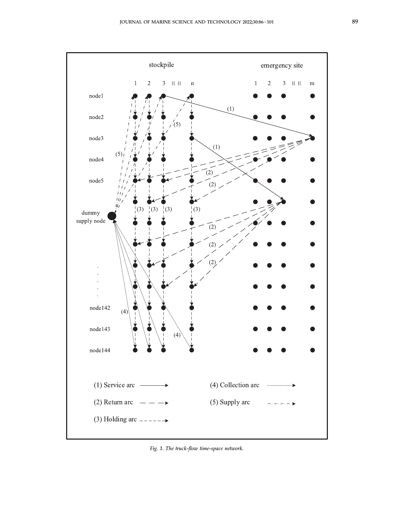<span id="page-4-0"></span>

Fig. 1. The truck-flow time-space network.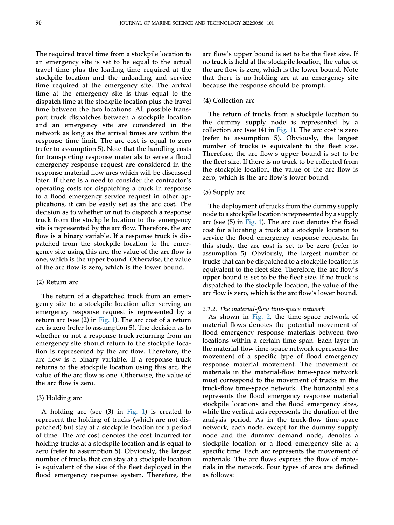The required travel time from a stockpile location to an emergency site is set to be equal to the actual travel time plus the loading time required at the stockpile location and the unloading and service time required at the emergency site. The arrival time at the emergency site is thus equal to the dispatch time at the stockpile location plus the travel time between the two locations. All possible transport truck dispatches between a stockpile location and an emergency site are considered in the network as long as the arrival times are within the response time limit. The arc cost is equal to zero (refer to assumption 5). Note that the handling costs for transporting response materials to serve a flood emergency response request are considered in the response material flow arcs which will be discussed later. If there is a need to consider the contractor's operating costs for dispatching a truck in response to a flood emergency service request in other applications, it can be easily set as the arc cost. The decision as to whether or not to dispatch a response truck from the stockpile location to the emergency site is represented by the arc flow. Therefore, the arc flow is a binary variable. If a response truck is dispatched from the stockpile location to the emergency site using this arc, the value of the arc flow is one, which is the upper bound. Otherwise, the value of the arc flow is zero, which is the lower bound.

#### (2) Return arc

The return of a dispatched truck from an emergency site to a stockpile location after serving an emergency response request is represented by a return arc (see (2) in [Fig. 1\)](#page-4-0). The arc cost of a return arc is zero (refer to assumption 5). The decision as to whether or not a response truck returning from an emergency site should return to the stockpile location is represented by the arc flow. Therefore, the arc flow is a binary variable. If a response truck returns to the stockpile location using this arc, the value of the arc flow is one. Otherwise, the value of the arc flow is zero.

## (3) Holding arc

A holding arc (see (3) in [Fig. 1](#page-4-0)) is created to represent the holding of trucks (which are not dispatched) but stay at a stockpile location for a period of time. The arc cost denotes the cost incurred for holding trucks at a stockpile location and is equal to zero (refer to assumption 5). Obviously, the largest number of trucks that can stay at a stockpile location is equivalent of the size of the fleet deployed in the flood emergency response system. Therefore, the

arc flow's upper bound is set to be the fleet size. If no truck is held at the stockpile location, the value of the arc flow is zero, which is the lower bound. Note that there is no holding arc at an emergency site because the response should be prompt.

# (4) Collection arc

The return of trucks from a stockpile location to the dummy supply node is represented by a collection arc (see  $(4)$  in [Fig. 1](#page-4-0)). The arc cost is zero (refer to assumption 5). Obviously, the largest number of trucks is equivalent to the fleet size. Therefore, the arc flow's upper bound is set to be the fleet size. If there is no truck to be collected from the stockpile location, the value of the arc flow is zero, which is the arc flow's lower bound.

#### (5) Supply arc

The deployment of trucks from the dummy supply node to a stockpile location is represented by a supply arc (see (5) in [Fig. 1\)](#page-4-0). The arc cost denotes the fixed cost for allocating a truck at a stockpile location to service the flood emergency response requests. In this study, the arc cost is set to be zero (refer to assumption 5). Obviously, the largest number of trucks that can be dispatched to a stockpile location is equivalent to the fleet size. Therefore, the arc flow's upper bound is set to be the fleet size. If no truck is dispatched to the stockpile location, the value of the arc flow is zero, which is the arc flow's lower bound.

#### 2.1.2. The material-flow time-space network

As shown in [Fig. 2](#page-6-0), the time-space network of material flows denotes the potential movement of flood emergency response materials between two locations within a certain time span. Each layer in the material-flow time-space network represents the movement of a specific type of flood emergency response material movement. The movement of materials in the material-flow time-space network must correspond to the movement of trucks in the truck-flow time-space network. The horizontal axis represents the flood emergency response material stockpile locations and the flood emergency sites, while the vertical axis represents the duration of the analysis period. As in the truck-flow time-space network, each node, except for the dummy supply node and the dummy demand node, denotes a stockpile location or a flood emergency site at a specific time. Each arc represents the movement of materials. The arc flows express the flow of materials in the network. Four types of arcs are defined as follows: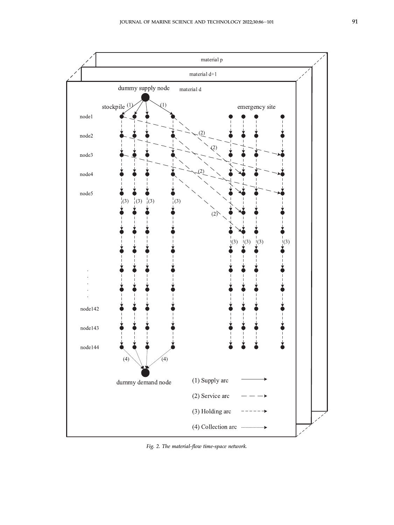<span id="page-6-0"></span>

Fig. 2. The material-flow time-space network.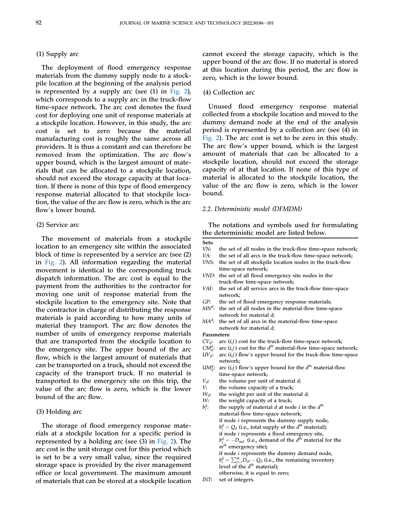# (1) Supply arc

The deployment of flood emergency response materials from the dummy supply node to a stockpile location at the beginning of the analysis period is represented by a supply arc (see  $(1)$  in [Fig. 2](#page-6-0)), which corresponds to a supply arc in the truck-flow time-space network. The arc cost denotes the fixed cost for deploying one unit of response materials at a stockpile location. However, in this study, the arc cost is set to zero because the material manufacturing cost is roughly the same across all providers. It is thus a constant and can therefore be removed from the optimization. The arc flow's upper bound, which is the largest amount of materials that can be allocated to a stockpile location, should not exceed the storage capacity at that location. If there is none of this type of flood emergency response material allocated to that stockpile location, the value of the arc flow is zero, which is the arc flow's lower bound.

#### (2) Service arc

The movement of materials from a stockpile location to an emergency site within the associated block of time is represented by a service arc (see (2) in [Fig. 2\)](#page-6-0). All information regarding the material movement is identical to the corresponding truck dispatch information. The arc cost is equal to the payment from the authorities to the contractor for moving one unit of response material from the stockpile location to the emergency site. Note that the contractor in charge of distributing the response materials is paid according to how many units of material they transport. The arc flow denotes the number of units of emergency response materials that are transported from the stockpile location to the emergency site. The upper bound of the arc flow, which is the largest amount of materials that can be transported on a truck, should not exceed the capacity of the transport truck. If no material is transported to the emergency site on this trip, the value of the arc flow is zero, which is the lower bound of the arc flow.

## (3) Holding arc

The storage of flood emergency response materials at a stockpile location for a specific period is represented by a holding arc (see (3) in [Fig. 2\)](#page-6-0). The arc cost is the unit storage cost for this period which is set to be a very small value, since the required storage space is provided by the river management office or local government. The maximum amount of materials that can be stored at a stockpile location

cannot exceed the storage capacity, which is the upper bound of the arc flow. If no material is stored at this location during this period, the arc flow is zero, which is the lower bound.

# (4) Collection arc

Unused flood emergency response material collected from a stockpile location and moved to the dummy demand node at the end of the analysis period is represented by a collection arc (see (4) in [Fig. 2](#page-6-0)). The arc cost is set to be zero in this study. The arc flow's upper bound, which is the largest amount of materials that can be allocated to a stockpile location, should not exceed the storage capacity of at that location. If none of this type of material is allocated to the stockpile location, the value of the arc flow is zero, which is the lower bound.

#### 2.2. Deterministic model (DFMDM)

The notations and symbols used for formulating the deterministic model are listed below.

- Sets: VN: the set of all nodes in the truck-flow time-space network;<br>VA: the set of all arcs in the truck-flow time-space network; the set of all arcs in the truck-flow time-space network; VNS: the set of all stockpile location nodes in the truck-flow time-space network; VND: the set of all flood emergency site nodes in the truck-flow time-space network; VAF: the set of all service arcs in the truck-flow time-space network;
	- GP: the set of flood emergency response materials;
	- $MN<sup>d</sup>$ : the set of all nodes in the material-flow time-space network for material d;
	- $MA<sup>d</sup>$ : the set of all arcs in the material-flow time-space network for material d;

Parameters:

- $CV_{ij}$ : arc  $(i, j)$  cost for the truck-flow time-space network;
- CM<sup>d</sup><sub>ij</sub>: arc (i,j) cost for the  $d^{th}$  material-flow time-space network;
- $UV_{ij}$ : arc  $(i, j)$  flow's upper bound for the truck-flow time-space network;
- *UM*<sup>d</sup><sub>ij</sub>: arc (*i,j*) flow's upper bound for the  $d^{th}$  material-flow time-space network;
- 
- $V_d$ : the volume per unit of material d;<br>  $V_t$  the volume canacity of a truck:
- V: the volume capacity of a truck;<br> $W_d$ : the weight per unit of the mate
- $W_d$ : the weight per unit of the material d;<br>W: the weight canacity of a truck: the weight capacity of a truck;
- $b_i^d$ : the supply of material  $d$  at node  $i$  in the  $d^{th}$ material-flow time-space network; if node *i* represents the dummy supply node,  $b_i^d = Q_d$  (i.e., total supply of the  $d^{th}$  material); if node i represents a flood emergency site,  $b_{i}^{d} = -D_{md}$  (i.e., demand of the  $d^{th}$  material for the  $m<sup>th</sup>$  emergency site); if node  $i$  represents the dummy demand node,  $b_i^d = \sum_{j=1}^m D_{jd} - Q_d$  (i.e., the remaining inventory level of the  $d^{th}$  material); otherwise, it is equal to zero;
- INT: set of integers.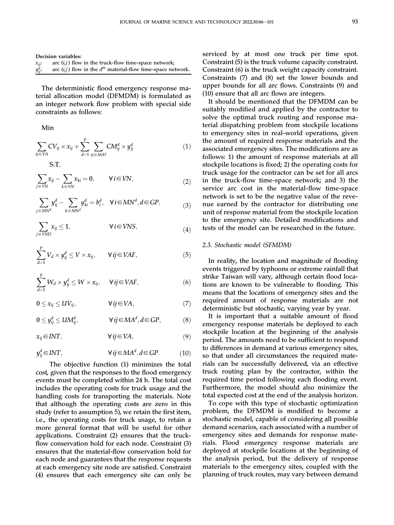Decision variables:

| $x_{ii}$ :   | arc $(i, j)$ flow in the truck-flow time-space network;          |
|--------------|------------------------------------------------------------------|
| $y_{ij}^d$ : | arc $(i, j)$ flow in the $dth$ material-flow time-space network. |

The deterministic flood emergency response material allocation model (DFMDM) is formulated as an integer network flow problem with special side constraints as follows:

Min

$$
\sum_{ij \in VA} CV_{ij} \times x_{ij} + \sum_{d=1}^p \sum_{ij \in MA^d} CM_{ij}^d \times y_{ij}^d \tag{1}
$$

S.T.

$$
\sum_{j \in VN} x_{ij} - \sum_{k \in VN} x_{ki} = 0, \qquad \forall i \in VN,
$$
\n(2)

$$
\sum_{j \in MN^d} y_{ij}^d - \sum_{k \in MN^d} y_{ki}^d = b_i^d, \quad \forall i \in MN^d, d \in GP,
$$
\n(3)

$$
\sum_{j \in VND} x_{ij} \le 1, \qquad \forall i \in VNS,
$$
\n(4)

$$
\sum_{d=1}^{p} V_d \times y_{ij}^d \le V \times x_{ij}, \qquad \forall ij \in VAF,
$$
\n(5)

$$
\sum_{d=1}^{p} W_d \times y_{ij}^d \le W \times x_{ij}, \quad \forall ij \in VAF,
$$
\n(6)

$$
0 \le x_{ij} \le UV_{ij}, \qquad \forall\, ij \in VA,\tag{7}
$$

$$
0 \le y_{ij}^d \le UM_{ij}^d, \qquad \forall ij \in MA^d, d \in GP,
$$
 (8)

$$
x_{ij} \in INT, \qquad \qquad \forall \, ij \in VA, \tag{9}
$$

$$
y_{ij}^d \in INT, \qquad \forall ij \in MA^d, d \in GP. \tag{10}
$$

The objective function (1) minimizes the total cost, given that the responses to the flood emergency events must be completed within 24 h. The total cost includes the operating costs for truck usage and the handling costs for transporting the materials. Note that although the operating costs are zero in this study (refer to assumption 5), we retain the first item, i.e., the operating costs for truck usage, to retain a more general format that will be useful for other applications. Constraint (2) ensures that the truckflow conservation hold for each node. Constraint (3) ensures that the material-flow conservation hold for each node and guarantees that the response requests at each emergency site node are satisfied. Constraint (4) ensures that each emergency site can only be

serviced by at most one truck per time spot. Constraint (5) is the truck volume capacity constraint. Constraint (6) is the truck weight capacity constraint. Constraints (7) and (8) set the lower bounds and upper bounds for all arc flows. Constraints (9) and (10) ensure that all arc flows are integers.

It should be mentioned that the DFMDM can be suitably modified and applied by the contractor to solve the optimal truck routing and response material dispatching problem from stockpile locations to emergency sites in real-world operations, given the amount of required response materials and the associated emergency sites. The modifications are as follows: 1) the amount of response materials at all stockpile locations is fixed; 2) the operating costs for truck usage for the contractor can be set for all arcs in the truck-flow time-space network; and 3) the service arc cost in the material-flow time-space network is set to be the negative value of the revenue earned by the contractor for distributing one unit of response material from the stockpile location to the emergency site. Detailed modifications and tests of the model can be researched in the future.

# 2.3. Stochastic model (SFMDM)

In reality, the location and magnitude of flooding events triggered by typhoons or extreme rainfall that strike Taiwan will vary, although certain flood locations are known to be vulnerable to flooding. This means that the locations of emergency sites and the required amount of response materials are not deterministic but stochastic, varying year by year.

It is important that a suitable amount of flood emergency response materials be deployed to each stockpile location at the beginning of the analysis period. The amounts need to be sufficient to respond to differences in demand at various emergency sites, so that under all circumstances the required materials can be successfully delivered, via an effective truck routing plan by the contractor, within the required time period following each flooding event. Furthermore, the model should also minimize the total expected cost at the end of the analysis horizon.

To cope with this type of stochastic optimization problem, the DFMDM is modified to become a stochastic model, capable of considering all possible demand scenarios, each associated with a number of emergency sites and demands for response materials. Flood emergency response materials are deployed at stockpile locations at the beginning of the analysis period, but the delivery of response materials to the emergency sites, coupled with the planning of truck routes, may vary between demand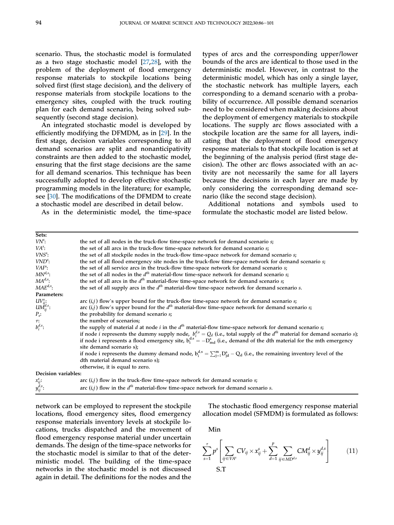scenario. Thus, the stochastic model is formulated as a two stage stochastic model [[27](#page-16-13)[,28](#page-16-14)], with the problem of the deployment of flood emergency response materials to stockpile locations being solved first (first stage decision), and the delivery of response materials from stockpile locations to the emergency sites, coupled with the truck routing plan for each demand scenario, being solved subsequently (second stage decision).

An integrated stochastic model is developed by efficiently modifying the DFMDM, as in [\[29](#page-16-15)]. In the first stage, decision variables corresponding to all demand scenarios are split and nonanticipativity constraints are then added to the stochastic model, ensuring that the first stage decisions are the same for all demand scenarios. This technique has been successfully adopted to develop effective stochastic programming models in the literature; for example, see [[30\]](#page-16-16). The modifications of the DFMDM to create a stochastic model are described in detail below.

As in the deterministic model, the time-space

types of arcs and the corresponding upper/lower bounds of the arcs are identical to those used in the deterministic model. However, in contrast to the deterministic model, which has only a single layer, the stochastic network has multiple layers, each corresponding to a demand scenario with a probability of occurrence. All possible demand scenarios need to be considered when making decisions about the deployment of emergency materials to stockpile locations. The supply arc flows associated with a stockpile location are the same for all layers, indicating that the deployment of flood emergency response materials to that stockpile location is set at the beginning of the analysis period (first stage decision). The other arc flows associated with an activity are not necessarily the same for all layers because the decisions in each layer are made by only considering the corresponding demand scenario (like the second stage decision).

Additional notations and symbols used to formulate the stochastic model are listed below.

| Sets:                                                              |                                                                                                                                          |
|--------------------------------------------------------------------|------------------------------------------------------------------------------------------------------------------------------------------|
| $VN^{\circ}$ :                                                     | the set of all nodes in the truck-flow time-space network for demand scenario s;                                                         |
| $VAs$ :                                                            | the set of all arcs in the truck-flow time-space network for demand scenario s;                                                          |
| $VNSs$ :                                                           | the set of all stockpile nodes in the truck-flow time-space network for demand scenario s;                                               |
| $VNDs$ :                                                           | the set of all flood emergency site nodes in the truck-flow time-space network for demand scenario s;                                    |
| VAF:                                                               | the set of all service arcs in the truck-flow time-space network for demand scenario s;                                                  |
| $MN^{d,s}$ :                                                       | the set of all nodes in the $d^{th}$ material-flow time-space network for demand scenario s;                                             |
| $MA^{d,s}$ :                                                       | the set of all arcs in the $d^{th}$ material-flow time-space network for demand scenario s;                                              |
| $MAE^{d,s}$ :                                                      | the set of all supply arcs in the $d^{th}$ material-flow time-space network for demand scenario s.                                       |
| Parameters:                                                        |                                                                                                                                          |
|                                                                    | arc $(i,j)$ flow's upper bound for the truck-flow time-space network for demand scenario $s$ ;                                           |
|                                                                    | arc $(i,j)$ flow's upper bound for the $d^{th}$ material-flow time-space network for demand scenario s;                                  |
| $\begin{array}{l} UV^s_{ij}:\\ U M^{d,s}_{ij}:\\ P_s: \end{array}$ | the probability for demand scenario s;                                                                                                   |
| $\tau$ :                                                           | the number of scenarios;                                                                                                                 |
| $b_i^{d,s}$ :                                                      | the supply of material d at node i in the $d^{th}$ material-flow time-space network for demand scenario s;                               |
|                                                                    | if node <i>i</i> represents the dummy supply node, $b_i^{ds} = Q_d$ (i.e., total supply of the $d^{th}$ material for demand scenario s); |
|                                                                    | if node i represents a flood emergency site, $b_i^{d,s} = -D_{md}^s$ (i.e., demand of the dth material for the mth emergency             |
|                                                                    | site demand scenario s);                                                                                                                 |
|                                                                    | if node i represents the dummy demand node, $b_1^{d,s} = \sum_{i=1}^{m} D_{id}^s - Q_d$ (i.e., the remaining inventory level of the      |
|                                                                    | dth material demand scenario s);                                                                                                         |
|                                                                    | otherwise, it is equal to zero.                                                                                                          |
| Decision variables:                                                |                                                                                                                                          |
|                                                                    | arc $(i, j)$ flow in the truck-flow time-space network for demand scenario s;                                                            |
| $x_{ij}^s$ :<br>$y_{ij}^{d,s}$ :                                   | arc $(i, j)$ flow in the $d^{th}$ material-flow time-space network for demand scenario s.                                                |

network can be employed to represent the stockpile locations, flood emergency sites, flood emergency response materials inventory levels at stockpile locations, trucks dispatched and the movement of flood emergency response material under uncertain demands. The design of the time-space networks for the stochastic model is similar to that of the deterministic model. The building of the time-space networks in the stochastic model is not discussed again in detail. The definitions for the nodes and the

The stochastic flood emergency response material allocation model (SFMDM) is formulated as follows:

Min

$$
\sum_{s=1}^{\tau} p^s \left[ \sum_{ij \in VA^s} CV_{ij} \times x_{ij}^s + \sum_{d=1}^p \sum_{ij \in MD^{d,s}} CM_{ij}^d \times y_{ij}^{d,s} \right]
$$
(11)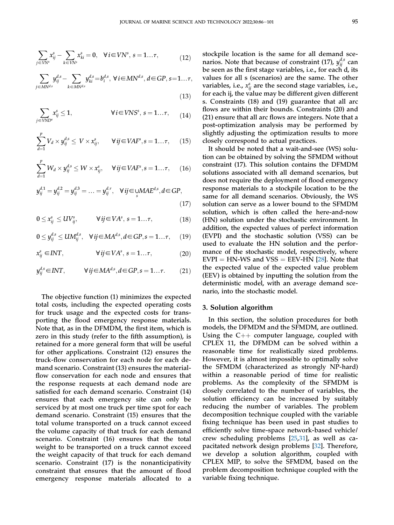$(13)$ 

$$
\sum_{j \in VN^s} x_{ij}^s - \sum_{k \in VN^s} x_{ki}^s = 0, \quad \forall i \in VN^s, \ s = 1... \tau,
$$
\n(12)

$$
\sum_{j \in MN^{d,s}} y_{ij}^{d,s} - \sum_{k \in MN^{d,s}} y_{ki}^{d,s} = b_i^{d,s}, \ \forall \, i \in MN^{d,s}, \, d \in GP, \, s = 1... \tau,
$$

$$
\sum_{j \in VND^s} x_{ij}^s \le 1, \qquad \forall i \in VNS^s, s = 1...7, \qquad (14)
$$

$$
\sum_{d=1}^{p} V_d \times y_{ij}^{d,s} \leq V \times x_{ij}^s, \qquad \forall ij \in VAF^s, s = 1... \tau, \qquad (15)
$$

$$
\sum_{d=1}^{p} W_d \times y_{ij}^{d,s} \le W \times x_{ij}^s, \quad \forall ij \in VAF^s, s = 1... \tau, \quad (16)
$$

$$
y_{ij}^{d,1} = y_{ij}^{d,2} = y_{ij}^{d,3} = \dots = y_{ij}^{d,\tau}, \quad \forall ij \in \text{UMAE}^{d,s}, d \in GP,
$$
\n(17)

$$
0 \le x_{ij}^s \le UV_{ij}^s, \qquad \forall ij \in VA^s, s = 1...{\tau}, \qquad (18)
$$

$$
0 \le y_{ij}^{d,s} \le UM_{ij}^{d,s}, \quad \forall ij \in MA^{d,s}, d \in GP, s = 1... \tau, \quad (19)
$$

$$
x_{ij}^s \in INT, \qquad \forall ij \in VA^s, s = 1... \tau,
$$
 (20)

$$
y_{ij}^{d,s} \in INT, \qquad \forall ij \in MA^{d,s}, d \in GP, s = 1... \tau. \tag{21}
$$

The objective function (1) minimizes the expected total costs, including the expected operating costs for truck usage and the expected costs for transporting the flood emergency response materials. Note that, as in the DFMDM, the first item, which is zero in this study (refer to the fifth assumption), is retained for a more general form that will be useful for other applications. Constraint (12) ensures the truck-flow conservation for each node for each demand scenario. Constraint (13) ensures the materialflow conservation for each node and ensures that the response requests at each demand node are satisfied for each demand scenario. Constraint (14) ensures that each emergency site can only be serviced by at most one truck per time spot for each demand scenario. Constraint (15) ensures that the total volume transported on a truck cannot exceed the volume capacity of that truck for each demand scenario. Constraint (16) ensures that the total weight to be transported on a truck cannot exceed the weight capacity of that truck for each demand scenario. Constraint (17) is the nonanticipativity constraint that ensures that the amount of flood emergency response materials allocated to a

stockpile location is the same for all demand scenarios. Note that because of constraint (17),  $y_{ij}^{d,s}$  can be seen as the first stage variables, i.e., for each d, its values for all s (scenarios) are the same. The other variables, i.e.,  $x_{ij}^s$  are the second stage variables, i.e., for each ij, the value may be different given different s. Constraints (18) and (19) guarantee that all arc flows are within their bounds. Constraints (20) and (21) ensure that all arc flows are integers. Note that a post-optimization analysis may be performed by slightly adjusting the optimization results to more closely correspond to actual practices.

It should be noted that a wait-and-see (WS) solution can be obtained by solving the SFMDM without constraint (17). This solution contains the DFMDM solutions associated with all demand scenarios, but does not require the deployment of flood emergency response materials to a stockpile location to be the same for all demand scenarios. Obviously, the WS solution can serve as a lower bound to the SFMDM solution, which is often called the here-and-now (HN) solution under the stochastic environment. In addition, the expected values of perfect information (EVPI) and the stochastic solution (VSS) can be used to evaluate the HN solution and the performance of the stochastic model, respectively, where  $EVPI = HN-WS$  and  $VSS = EEV-HN$  [[28](#page-16-14)]. Note that the expected value of the expected value problem (EEV) is obtained by inputting the solution from the deterministic model, with an average demand scenario, into the stochastic model.

# <span id="page-10-0"></span>3. Solution algorithm

In this section, the solution procedures for both models, the DFMDM and the SFMDM, are outlined. Using the  $C_{++}$  computer language, coupled with CPLEX 11, the DFMDM can be solved within a reasonable time for realistically sized problems. However, it is almost impossible to optimally solve the SFMDM (characterized as strongly NP-hard) within a reasonable period of time for realistic problems. As the complexity of the SFMDM is closely correlated to the number of variables, the solution efficiency can be increased by suitably reducing the number of variables. The problem decomposition technique coupled with the variable fixing technique has been used in past studies to efficiently solve time-space network-based vehicle/ crew scheduling problems [[25](#page-16-17)[,31](#page-16-18)], as well as capacitated network design problems [\[32](#page-16-19)]. Therefore, we develop a solution algorithm, coupled with CPLEX MIP, to solve the SFMDM, based on the problem decomposition technique coupled with the variable fixing technique.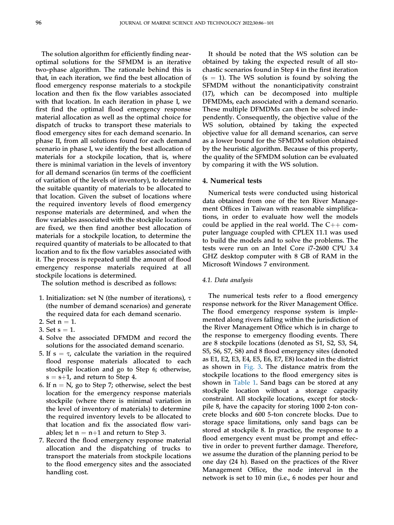The solution algorithm for efficiently finding nearoptimal solutions for the SFMDM is an iterative two-phase algorithm. The rationale behind this is that, in each iteration, we find the best allocation of flood emergency response materials to a stockpile location and then fix the flow variables associated with that location. In each iteration in phase I, we first find the optimal flood emergency response material allocation as well as the optimal choice for dispatch of trucks to transport these materials to flood emergency sites for each demand scenario. In phase II, from all solutions found for each demand scenario in phase I, we identify the best allocation of materials for a stockpile location, that is, where there is minimal variation in the levels of inventory for all demand scenarios (in terms of the coefficient of variation of the levels of inventory), to determine the suitable quantity of materials to be allocated to that location. Given the subset of locations where the required inventory levels of flood emergency response materials are determined, and when the flow variables associated with the stockpile locations are fixed, we then find another best allocation of materials for a stockpile location, to determine the required quantity of materials to be allocated to that location and to fix the flow variables associated with it. The process is repeated until the amount of flood emergency response materials required at all stockpile locations is determined.

The solution method is described as follows:

- 1. Initialization: set N (the number of iterations),  $\tau$ (the number of demand scenarios) and generate the required data for each demand scenario.
- 2. Set  $n = 1$ .
- 3. Set  $s = 1$ .
- 4. Solve the associated DFMDM and record the solutions for the associated demand scenario.
- 5. If  $s = \tau$ , calculate the variation in the required flood response materials allocated to each stockpile location and go to Step 6; otherwise,  $s = s+1$ , and return to Step 4.
- 6. If  $n = N$ , go to Step 7; otherwise, select the best location for the emergency response materials stockpile (where there is minimal variation in the level of inventory of materials) to determine the required inventory levels to be allocated to that location and fix the associated flow variables; let  $n = n+1$  and return to Step 3.
- 7. Record the flood emergency response material allocation and the dispatching of trucks to transport the materials from stockpile locations to the flood emergency sites and the associated handling cost.

It should be noted that the WS solution can be obtained by taking the expected result of all stochastic scenarios found in Step 4 in the first iteration  $(s = 1)$ . The WS solution is found by solving the SFMDM without the nonanticipativity constraint (17), which can be decomposed into multiple DFMDMs, each associated with a demand scenario. These multiple DFMDMs can then be solved independently. Consequently, the objective value of the WS solution, obtained by taking the expected objective value for all demand scenarios, can serve as a lower bound for the SFMDM solution obtained by the heuristic algorithm. Because of this property, the quality of the SFMDM solution can be evaluated by comparing it with the WS solution.

# <span id="page-11-0"></span>4. Numerical tests

Numerical tests were conducted using historical data obtained from one of the ten River Management Offices in Taiwan with reasonable simplifications, in order to evaluate how well the models could be applied in the real world. The  $C++$  computer language coupled with CPLEX 11.1 was used to build the models and to solve the problems. The tests were run on an Intel Core i7-2600 CPU 3.4 GHZ desktop computer with 8 GB of RAM in the Microsoft Windows 7 environment.

#### 4.1. Data analysis

The numerical tests refer to a flood emergency response network for the River Management Office. The flood emergency response system is implemented along rivers falling within the jurisdiction of the River Management Office which is in charge to the response to emergency flooding events. There are 8 stockpile locations (denoted as S1, S2, S3, S4, S5, S6, S7, S8) and 8 flood emergency sites (denoted as E1, E2, E3, E4, E5, E6, E7, E8) located in the district as shown in [Fig. 3.](#page-12-0) The distance matrix from the stockpile locations to the flood emergency sites is shown in [Table 1](#page-12-1). Sand bags can be stored at any stockpile location without a storage capacity constraint. All stockpile locations, except for stockpile 8, have the capacity for storing 1000 2-ton concrete blocks and 600 5-ton concrete blocks. Due to storage space limitations, only sand bags can be stored at stockpile 8. In practice, the response to a flood emergency event must be prompt and effective in order to prevent further damage. Therefore, we assume the duration of the planning period to be one day (24 h). Based on the practices of the River Management Office, the node interval in the network is set to 10 min (i.e., 6 nodes per hour and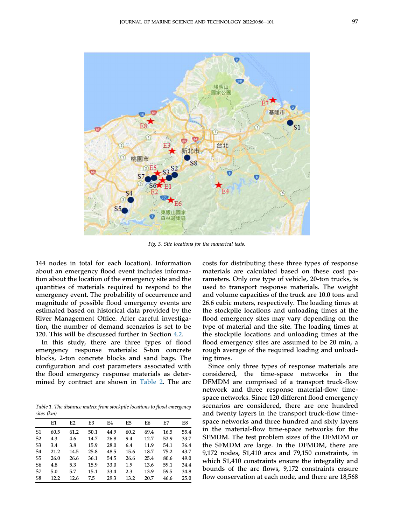<span id="page-12-0"></span>

Fig. 3. Site locations for the numerical tests.

144 nodes in total for each location). Information about an emergency flood event includes information about the location of the emergency site and the quantities of materials required to respond to the emergency event. The probability of occurrence and magnitude of possible flood emergency events are estimated based on historical data provided by the River Management Office. After careful investigation, the number of demand scenarios is set to be 120. This will be discussed further in Section [4.2](#page-13-0).

In this study, there are three types of flood emergency response materials: 5-ton concrete blocks, 2-ton concrete blocks and sand bags. The configuration and cost parameters associated with the flood emergency response materials as determined by contract are shown in [Table 2](#page-13-1). The arc

<span id="page-12-1"></span>Table 1. The distance matrix from stockpile locations to flood emergency sites (km)

|                | E1   | E2   | E3   | E4   | E5   | E6   | E7   | E8   |
|----------------|------|------|------|------|------|------|------|------|
| S1             | 60.5 | 61.2 | 50.1 | 44.9 | 60.2 | 69.4 | 16.5 | 55.4 |
| S <sub>2</sub> | 4.3  | 4.6  | 14.7 | 26.8 | 9.4  | 12.7 | 52.9 | 33.7 |
| S <sub>3</sub> | 3.4  | 3.8  | 15.9 | 28.0 | 6.4  | 11.9 | 54.1 | 36.4 |
| S4             | 21.2 | 14.5 | 25.8 | 48.5 | 15.6 | 18.7 | 75.2 | 43.7 |
| S <sub>5</sub> | 26.0 | 26.6 | 36.1 | 54.5 | 26.6 | 25.4 | 80.6 | 49.0 |
| S6             | 4.8  | 5.3  | 15.9 | 33.0 | 1.9  | 13.6 | 59.1 | 34.4 |
| S7             | 5.0  | 5.7  | 15.1 | 33.4 | 2.3  | 13.9 | 59.5 | 34.8 |
| S <sub>8</sub> | 12.2 | 12.6 | 7.5  | 29.3 | 13.2 | 20.7 | 46.6 | 25.0 |

costs for distributing these three types of response materials are calculated based on these cost parameters. Only one type of vehicle, 20-ton trucks, is used to transport response materials. The weight and volume capacities of the truck are 10.0 tons and 26.6 cubic meters, respectively. The loading times at the stockpile locations and unloading times at the flood emergency sites may vary depending on the type of material and the site. The loading times at the stockpile locations and unloading times at the flood emergency sites are assumed to be 20 min, a rough average of the required loading and unloading times.

Since only three types of response materials are considered, the time-space networks in the DFMDM are comprised of a transport truck-flow network and three response material-flow timespace networks. Since 120 different flood emergency scenarios are considered, there are one hundred and twenty layers in the transport truck-flow timespace networks and three hundred and sixty layers in the material-flow time-space networks for the SFMDM. The test problem sizes of the DFMDM or the SFMDM are large. In the DFMDM, there are 9,172 nodes, 51,410 arcs and 79,150 constraints, in which 51,410 constraints ensure the integrality and bounds of the arc flows, 9,172 constraints ensure flow conservation at each node, and there are 18,568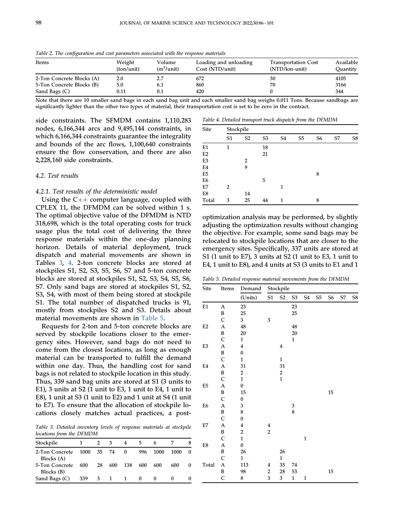| Items                     | Weight<br>(ton/unit) | Volume<br>$(m^3/$ unit) | Loading and unloading<br>Cost (NTD/unit) | <b>Transportation Cost</b><br>(NTD/km-unit) | Available<br>Ouantity |
|---------------------------|----------------------|-------------------------|------------------------------------------|---------------------------------------------|-----------------------|
| 2-Ton Concrete Blocks (A) | 2.0                  |                         | 672                                      | 30                                          | 4105                  |
| 5-Ton Concrete Blocks (B) | 5.0                  | 6.1                     | 860                                      | 70                                          | 3166                  |
| Sand Bags (C)             | 0.11                 | $0.1\,$                 | 420                                      |                                             | 344                   |

<span id="page-13-1"></span>Table 2. The configuration and cost parameters associated with the response materials

Note that there are 10 smaller sand bags in each sand bag unit and each smaller sand bag weighs 0.011 Tons. Because sandbags are significantly lighter than the other two types of material, their transportation cost is set to be zero in the contract.

side constraints. The SFMDM contains 1,110,283 nodes, 6,166,344 arcs and 9,495,144 constraints, in which 6,166,344 constraints guarantee the integrality and bounds of the arc flows, 1,100,640 constraints ensure the flow conservation, and there are also 2,228,160 side constraints.

# <span id="page-13-0"></span>4.2. Test results

#### 4.2.1. Test results of the deterministic model

Using the  $C_{++}$  computer language, coupled with CPLEX 11, the DFMDM can be solved within 1 s. The optimal objective value of the DFMDM is NTD 318,698, which is the total operating costs for truck usage plus the total cost of delivering the three response materials within the one-day planning horizon. Details of material deployment, truck dispatch and material movements are shown in Tables [3,](#page-13-2) [4](#page-13-3). 2-ton concrete blocks are stored at stockpiles S1, S2, S3, S5, S6, S7 and 5-ton concrete blocks are stored at stockpiles S1, S2, S3, S4, S5, S6, S7. Only sand bags are stored at stockpiles S1, S2, S3, S4, with most of them being stored at stockpile S1. The total number of dispatched trucks is 91, mostly from stockpiles S2 and S3. Details about material movements are shown in [Table 5](#page-13-4).

Requests for 2-ton and 5-ton concrete blocks are served by stockpile locations closer to the emergency sites. However, sand bags do not need to come from the closest locations, as long as enough material can be transported to fulfill the demand within one day. Thus, the handling cost for sand bags is not related to stockpile location in this study. Thus, 339 sand bag units are stored at S1 (3 units to E1), 3 units at S2 (1 unit to E3, 1 unit to E4, 1 unit to E8), 1 unit at S3 (1 unit to E2) and 1 unit at S4 (1 unit to E7). To ensure that the allocation of stockpile locations closely matches actual practices, a post-

<span id="page-13-2"></span>Table 3. Detailed inventory levels of response materials at stockpile locations from the DFMDM

| Stockpile                    |      | 2  | 3            | 4        | 5        | 6    |      |  |
|------------------------------|------|----|--------------|----------|----------|------|------|--|
| 2-Ton Concrete<br>Blocks (A) | 1000 |    | 35 74        | $\Omega$ | 996      | 1000 | 1000 |  |
| 5-Ton Concrete<br>Blocks (B) | 600  | 28 | 600          | 138      | 600      | 600  | 600  |  |
| Sand Bags (C)                | 339  | 3  | $\mathbf{1}$ |          | $\bf{0}$ |      |      |  |

<span id="page-13-3"></span>Table 4. Detailed transport truck dispatch from the DFMDM

| <b>Site</b>    | Stockpile      |                |                |                |                |                |    |    |  |  |  |  |
|----------------|----------------|----------------|----------------|----------------|----------------|----------------|----|----|--|--|--|--|
|                | S <sub>1</sub> | S <sub>2</sub> | S <sub>3</sub> | S <sub>4</sub> | S <sub>5</sub> | S <sub>6</sub> | S7 | S8 |  |  |  |  |
| E <sub>1</sub> | 1              |                | 18             |                |                |                |    |    |  |  |  |  |
| E2             |                |                | 21             |                |                |                |    |    |  |  |  |  |
| E <sub>3</sub> |                | 2              |                |                |                |                |    |    |  |  |  |  |
| E4             |                | 9              |                |                |                |                |    |    |  |  |  |  |
| E5             |                |                |                |                |                | 8              |    |    |  |  |  |  |
| E <sub>6</sub> |                |                | 5              |                |                |                |    |    |  |  |  |  |
| E7             | 2              |                |                | 1              |                |                |    |    |  |  |  |  |
| E8             |                | 14             |                |                |                |                |    |    |  |  |  |  |
| Total          | 3              | 25             | 44             | 1              |                | 8              |    |    |  |  |  |  |

optimization analysis may be performed, by slightly adjusting the optimization results without changing the objective. For example, some sand bags may be relocated to stockpile locations that are closer to the emergency sites. Specifically, 337 units are stored at S1 (1 unit to E7), 3 units at S2 (1 unit to E3, 1 unit to E4, 1 unit to E8), and 4 units at S3 (3 units to E1 and 1

<span id="page-13-4"></span>Table 5. Detailed response material movements from the DFMDM

| <b>Site</b>    | Items                 | Demand                  |                         | Stockpile               |              |              |                |                |            |    |
|----------------|-----------------------|-------------------------|-------------------------|-------------------------|--------------|--------------|----------------|----------------|------------|----|
|                |                       | (Units)                 | S1                      | S <sub>2</sub>          | S3           | S4           | S <sub>5</sub> | S <sub>6</sub> | ${\sf S7}$ | S8 |
| E1             | $\boldsymbol{\rm{A}}$ | 23                      |                         |                         | 23           |              |                |                |            |    |
|                | B                     | 25                      |                         |                         | 25           |              |                |                |            |    |
|                | $\mathsf C$           | 3                       | 3                       |                         |              |              |                |                |            |    |
| E <sub>2</sub> | A                     | 48                      |                         |                         | 48           |              |                |                |            |    |
|                | B                     | 20                      |                         |                         | 20           |              |                |                |            |    |
|                | $\mathsf C$           | $\mathbf{1}$            |                         |                         | $\mathbf{1}$ |              |                |                |            |    |
| E3             | $\boldsymbol{\rm{A}}$ | $\overline{\mathbf{4}}$ |                         | 4                       |              |              |                |                |            |    |
|                | $\, {\bf B}$          | $\boldsymbol{0}$        |                         |                         |              |              |                |                |            |    |
|                | $\mathsf C$           | $\mathbf{1}$            |                         | $\mathbf{1}$            |              |              |                |                |            |    |
| E4             | $\boldsymbol{A}$      | 31                      |                         | 31                      |              |              |                |                |            |    |
|                | B                     | $\overline{\mathbf{c}}$ |                         | $\overline{\mathbf{c}}$ |              |              |                |                |            |    |
|                | $\mathsf C$           | $\mathbf{1}$            |                         | $\mathbf{1}$            |              |              |                |                |            |    |
| E <sub>5</sub> | $\boldsymbol{\rm{A}}$ | $\pmb{0}$               |                         |                         |              |              |                |                |            |    |
|                | B                     | 15                      |                         |                         |              |              |                | 15             |            |    |
|                | $\mathsf C$           | $\pmb{0}$               |                         |                         |              |              |                |                |            |    |
| E <sub>6</sub> | A                     | 3                       |                         |                         | 3            |              |                |                |            |    |
|                | B                     | 8                       |                         |                         | 8            |              |                |                |            |    |
|                | $\mathsf{C}$          | $\boldsymbol{0}$        |                         |                         |              |              |                |                |            |    |
| E7             | A                     | $\overline{\mathbf{4}}$ | $\boldsymbol{4}$        |                         |              |              |                |                |            |    |
|                | B                     | $\overline{\mathbf{c}}$ | $\overline{\mathbf{c}}$ |                         |              |              |                |                |            |    |
|                | $\mathsf C$           | $\mathbf{1}$            |                         |                         |              | $\mathbf{1}$ |                |                |            |    |
| ${\rm E}8$     | $\boldsymbol{\rm{A}}$ | $\pmb{0}$               |                         |                         |              |              |                |                |            |    |
|                | B                     | 26                      |                         | 26                      |              |              |                |                |            |    |
|                | $\mathsf C$           | $\mathbf{1}$            |                         | $\mathbf{1}$            |              |              |                |                |            |    |
| Total          | A                     | 113                     | 4                       | 35                      | 74           |              |                |                |            |    |
|                | B                     | 98                      | $\overline{\mathbf{c}}$ | 28                      | 53           |              |                | 15             |            |    |
|                | C                     | 8                       | 3                       | 3                       | $\mathbf 1$  | $\mathbf{1}$ |                |                |            |    |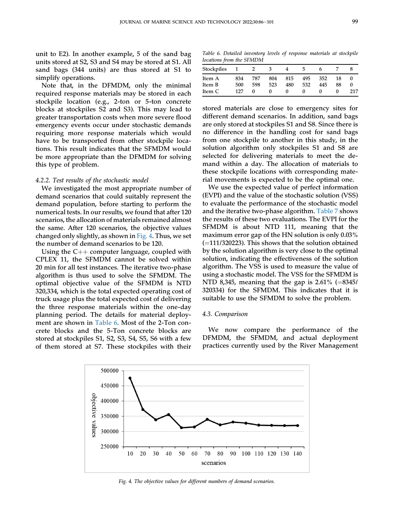unit to E2). In another example, 5 of the sand bag units stored at S2, S3 and S4 may be stored at S1. All sand bags (344 units) are thus stored at S1 to simplify operations.

Note that, in the DFMDM, only the minimal required response materials may be stored in each stockpile location (e.g., 2-ton or 5-ton concrete blocks at stockpiles S2 and S3). This may lead to greater transportation costs when more severe flood emergency events occur under stochastic demands requiring more response materials which would have to be transported from other stockpile locations. This result indicates that the SFMDM would be more appropriate than the DFMDM for solving this type of problem.

#### 4.2.2. Test results of the stochastic model

We investigated the most appropriate number of demand scenarios that could suitably represent the demand population, before starting to perform the numerical tests. In our results, we found that after 120 scenarios, the allocation of materials remained almost the same. After 120 scenarios, the objective values changed only slightly, as shown in [Fig. 4](#page-14-0). Thus, we set the number of demand scenarios to be 120.

Using the  $C_{++}$  computer language, coupled with CPLEX 11, the SFMDM cannot be solved within 20 min for all test instances. The iterative two-phase algorithm is thus used to solve the SFMDM. The optimal objective value of the SFMDM is NTD 320,334, which is the total expected operating cost of truck usage plus the total expected cost of delivering the three response materials within the one-day planning period. The details for material deployment are shown in [Table 6](#page-14-1). Most of the 2-Ton concrete blocks and the 5-Ton concrete blocks are stored at stockpiles S1, S2, S3, S4, S5, S6 with a few of them stored at S7. These stockpiles with their

<span id="page-14-1"></span>Table 6. Detailed inventory levels of response materials at stockpile locations from the SFMDM

| Stockpiles |     |     |     |     |     |     |    |     |
|------------|-----|-----|-----|-----|-----|-----|----|-----|
| Item A     | 834 | 787 | 804 | 815 | 495 | 352 | 18 |     |
| Item B     | 500 | 598 | 523 | 480 | 532 | 445 | 88 |     |
| Item C     | 127 |     |     |     |     |     |    | 217 |

stored materials are close to emergency sites for different demand scenarios. In addition, sand bags are only stored at stockpiles S1 and S8. Since there is no difference in the handling cost for sand bags from one stockpile to another in this study, in the solution algorithm only stockpiles S1 and S8 are selected for delivering materials to meet the demand within a day. The allocation of materials to these stockpile locations with corresponding material movements is expected to be the optimal one.

We use the expected value of perfect information (EVPI) and the value of the stochastic solution (VSS) to evaluate the performance of the stochastic model and the iterative two-phase algorithm. [Table 7](#page-15-4) shows the results of these two evaluations. The EVPI for the SFMDM is about NTD 111, meaning that the maximum error gap of the HN solution is only 0.03%  $(=111/320223)$ . This shows that the solution obtained by the solution algorithm is very close to the optimal solution, indicating the effectiveness of the solution algorithm. The VSS is used to measure the value of using a stochastic model. The VSS for the SFMDM is NTD 8,345, meaning that the gap is  $2.61\%$  (=8345/ 320334) for the SFMDM. This indicates that it is suitable to use the SFMDM to solve the problem.

#### 4.3. Comparison

We now compare the performance of the DFMDM, the SFMDM, and actual deployment practices currently used by the River Management

<span id="page-14-0"></span>

Fig. 4. The objective values for different numbers of demand scenarios.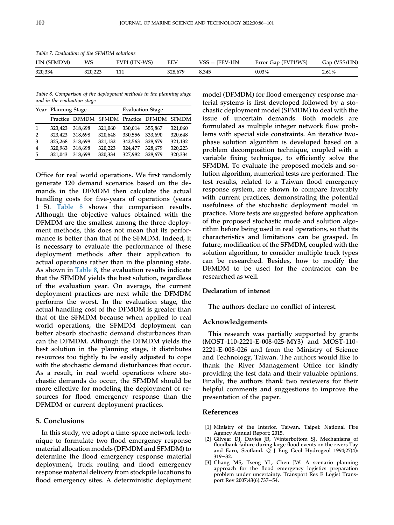<span id="page-15-4"></span>Table 7. Evaluation of the SFMDM solutions

| HN (SFMDM) | WS      | EVPI (HN-WS) | <b>EEV</b> | $VSS =  EEV-HN $ | Error Gap (EVPI/WS) | Gap (VSS/HN) |
|------------|---------|--------------|------------|------------------|---------------------|--------------|
| 320,334    | 320,223 | TTT          | 328.679    | 8,345            | $0.03\%$            | 2.61%        |

<span id="page-15-5"></span>Table 8. Comparison of the deployment methods in the planning stage and in the evaluation stage

|                | Year Planning Stage |                                           |         | <b>Evaluation Stage</b> |         |         |  |  |
|----------------|---------------------|-------------------------------------------|---------|-------------------------|---------|---------|--|--|
|                |                     | Practice DFMDM SFMDM Practice DFMDM SFMDM |         |                         |         |         |  |  |
| $\mathbf{1}$   | 323,423             | 318.698                                   | 321,060 | 330.014                 | 355.867 | 321,060 |  |  |
| $\overline{2}$ | 323,423             | 318,698                                   | 320,648 | 330,556                 | 333,690 | 320,648 |  |  |
| 3              | 325,268             | 318,698                                   | 321,132 | 342,563                 | 328,679 | 321,132 |  |  |
| $\overline{4}$ | 320,963             | 318,698                                   | 320,223 | 324,477                 | 328,679 | 320,223 |  |  |
| 5              | 321,043             | 318,698                                   | 320,334 | 327,982                 | 328.679 | 320,334 |  |  |

Office for real world operations. We first randomly generate 120 demand scenarios based on the demands in the DFMDM then calculate the actual handling costs for five-years of operations (years 1–5). [Table 8](#page-15-5) shows the comparison results. Although the objective values obtained with the DFMDM are the smallest among the three deployment methods, this does not mean that its performance is better than that of the SFMDM. Indeed, it is necessary to evaluate the performance of these deployment methods after their application to actual operations rather than in the planning state. As shown in [Table 8,](#page-15-5) the evaluation results indicate that the SFMDM yields the best solution, regardless of the evaluation year. On average, the current deployment practices are next while the DFMDM performs the worst. In the evaluation stage, the actual handling cost of the DFMDM is greater than that of the SFMDM because when applied to real world operations, the SFMDM deployment can better absorb stochastic demand disturbances than can the DFMDM. Although the DFMDM yields the best solution in the planning stage, it distributes resources too tightly to be easily adjusted to cope with the stochastic demand disturbances that occur. As a result, in real world operations where stochastic demands do occur, the SFMDM should be more effective for modeling the deployment of resources for flood emergency response than the DFMDM or current deployment practices.

## 5. Conclusions

In this study, we adopt a time-space network technique to formulate two flood emergency response material allocation models (DFMDM and SFMDM) to determine the flood emergency response material deployment, truck routing and flood emergency response material delivery from stockpile locations to flood emergency sites. A deterministic deployment model (DFMDM) for flood emergency response material systems is first developed followed by a stochastic deployment model (SFMDM) to deal with the issue of uncertain demands. Both models are formulated as multiple integer network flow problems with special side constraints. An iterative twophase solution algorithm is developed based on a problem decomposition technique, coupled with a variable fixing technique, to efficiently solve the SFMDM. To evaluate the proposed models and solution algorithm, numerical tests are performed. The test results, related to a Taiwan flood emergency response system, are shown to compare favorably with current practices, demonstrating the potential usefulness of the stochastic deployment model in practice. More tests are suggested before application of the proposed stochastic mode and solution algorithm before being used in real operations, so that its characteristics and limitations can be grasped. In future, modification of the SFMDM, coupled with the solution algorithm, to consider multiple truck types can be researched. Besides, how to modify the DFMDM to be used for the contractor can be researched as well.

# Declaration of interest

The authors declare no conflict of interest.

#### Acknowledgements

This research was partially supported by grants (MOST-110-2221-E-008-025-MY3) and MOST-110- 2221-E-008-026 and from the Ministry of Science and Technology, Taiwan. The authors would like to thank the River Management Office for kindly providing the test data and their valuable opinions. Finally, the authors thank two reviewers for their helpful comments and suggestions to improve the presentation of the paper.

## <span id="page-15-3"></span>References

- <span id="page-15-0"></span>[1] Ministry of the Interior. Taiwan, Taipei: National Fire Agency Annual Report; 2015.
- <span id="page-15-1"></span>[2] Gilvear DJ, Davies JR, Winterbottom SJ. Mechanisms of floodbank failure during large flood events on the rivers Tay and Earn, Scotland. Q J Eng Geol Hydrogeol 1994;27(4):  $319 - 32.$
- <span id="page-15-2"></span>[3] Chang MS, Tseng YL, Chen JW. A scenario planning approach for the flood emergency logistics preparation problem under uncertainty. Transport Res E Logist Transport Rev 2007;43(6):737-54.